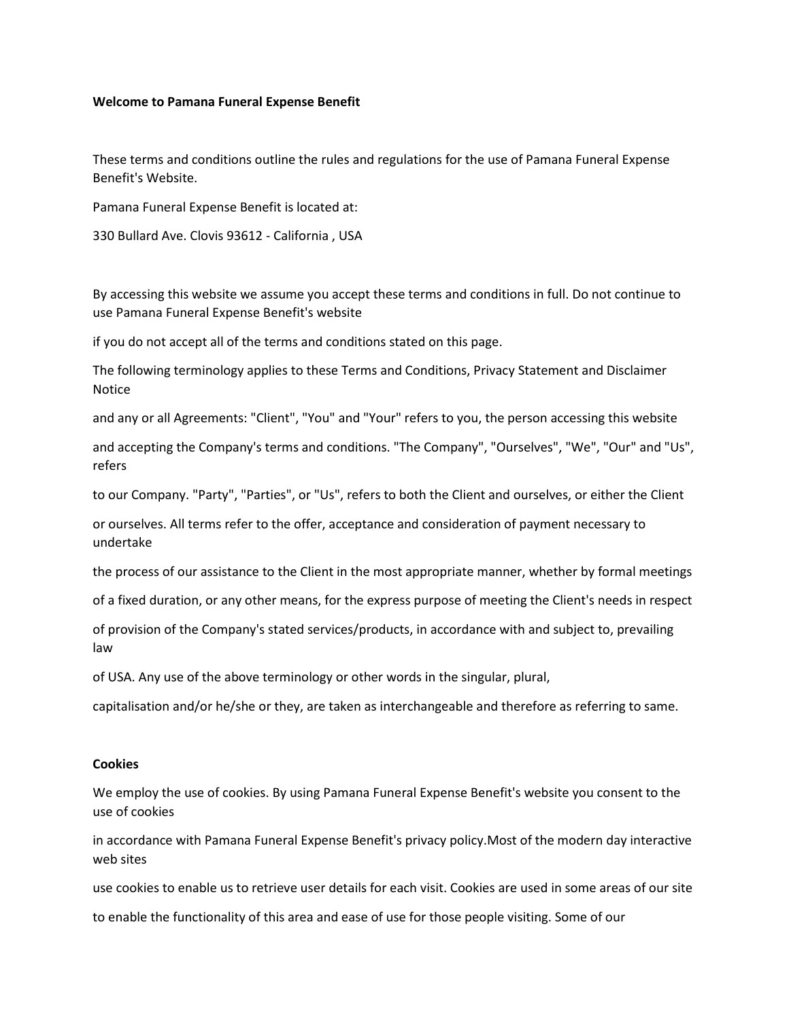### **Welcome to Pamana Funeral Expense Benefit**

These terms and conditions outline the rules and regulations for the use of Pamana Funeral Expense Benefit's Website.

Pamana Funeral Expense Benefit is located at:

330 Bullard Ave. Clovis 93612 - California , USA

By accessing this website we assume you accept these terms and conditions in full. Do not continue to use Pamana Funeral Expense Benefit's website

if you do not accept all of the terms and conditions stated on this page.

The following terminology applies to these Terms and Conditions, Privacy Statement and Disclaimer Notice

and any or all Agreements: "Client", "You" and "Your" refers to you, the person accessing this website

and accepting the Company's terms and conditions. "The Company", "Ourselves", "We", "Our" and "Us", refers

to our Company. "Party", "Parties", or "Us", refers to both the Client and ourselves, or either the Client

or ourselves. All terms refer to the offer, acceptance and consideration of payment necessary to undertake

the process of our assistance to the Client in the most appropriate manner, whether by formal meetings

of a fixed duration, or any other means, for the express purpose of meeting the Client's needs in respect

of provision of the Company's stated services/products, in accordance with and subject to, prevailing law

of USA. Any use of the above terminology or other words in the singular, plural,

capitalisation and/or he/she or they, are taken as interchangeable and therefore as referring to same.

## **Cookies**

We employ the use of cookies. By using Pamana Funeral Expense Benefit's website you consent to the use of cookies

in accordance with Pamana Funeral Expense Benefit's privacy policy.Most of the modern day interactive web sites

use cookies to enable us to retrieve user details for each visit. Cookies are used in some areas of our site

to enable the functionality of this area and ease of use for those people visiting. Some of our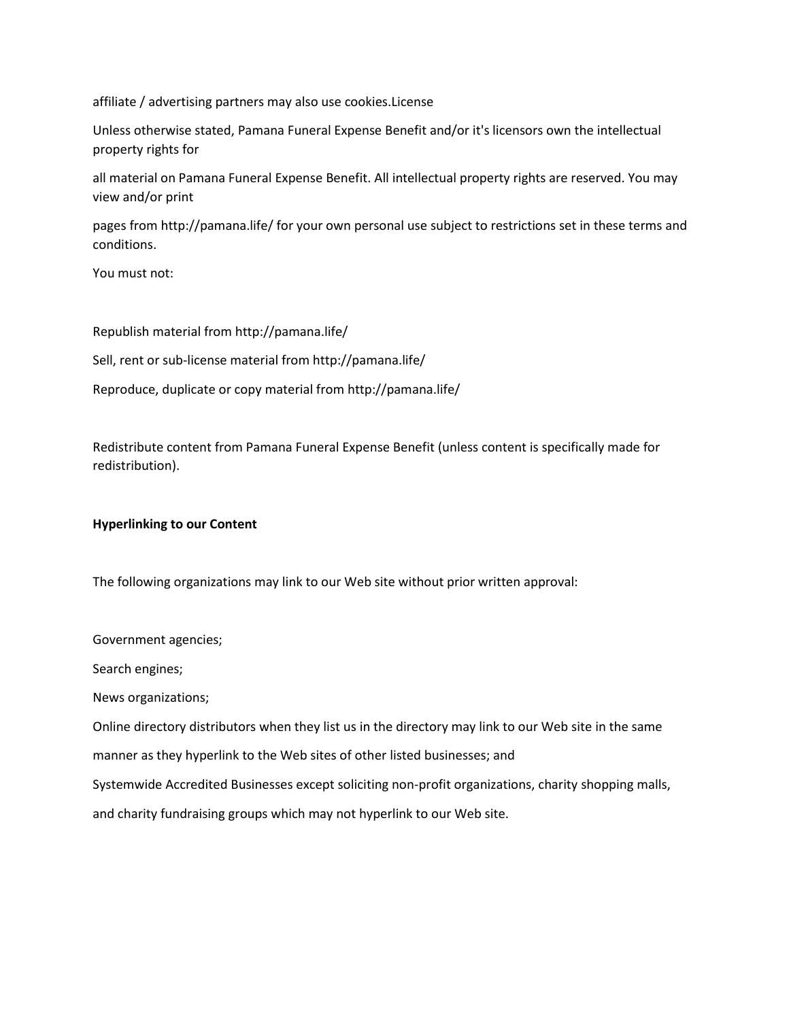affiliate / advertising partners may also use cookies.License

Unless otherwise stated, Pamana Funeral Expense Benefit and/or it's licensors own the intellectual property rights for

all material on Pamana Funeral Expense Benefit. All intellectual property rights are reserved. You may view and/or print

pages from http://pamana.life/ for your own personal use subject to restrictions set in these terms and conditions.

You must not:

Republish material from http://pamana.life/

Sell, rent or sub-license material from http://pamana.life/

Reproduce, duplicate or copy material from http://pamana.life/

Redistribute content from Pamana Funeral Expense Benefit (unless content is specifically made for redistribution).

### **Hyperlinking to our Content**

The following organizations may link to our Web site without prior written approval:

Government agencies;

Search engines;

News organizations;

Online directory distributors when they list us in the directory may link to our Web site in the same

manner as they hyperlink to the Web sites of other listed businesses; and

Systemwide Accredited Businesses except soliciting non-profit organizations, charity shopping malls,

and charity fundraising groups which may not hyperlink to our Web site.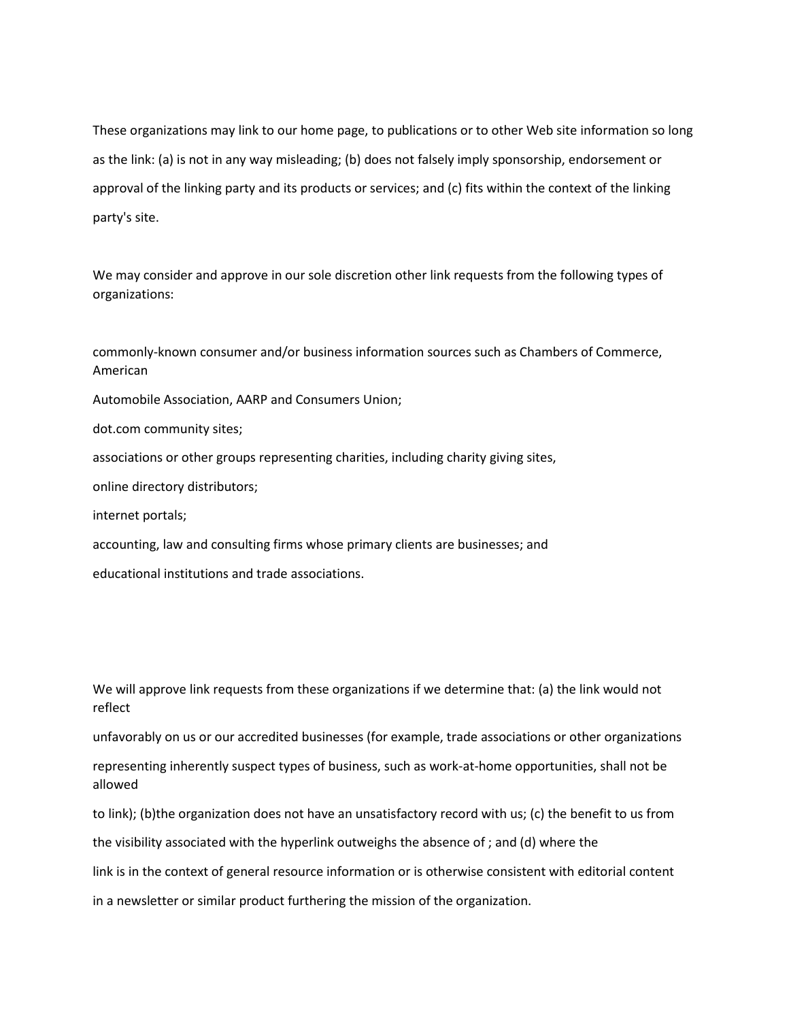These organizations may link to our home page, to publications or to other Web site information so long as the link: (a) is not in any way misleading; (b) does not falsely imply sponsorship, endorsement or approval of the linking party and its products or services; and (c) fits within the context of the linking party's site.

We may consider and approve in our sole discretion other link requests from the following types of organizations:

commonly-known consumer and/or business information sources such as Chambers of Commerce, American Automobile Association, AARP and Consumers Union; dot.com community sites; associations or other groups representing charities, including charity giving sites, online directory distributors; internet portals; accounting, law and consulting firms whose primary clients are businesses; and educational institutions and trade associations.

We will approve link requests from these organizations if we determine that: (a) the link would not reflect

unfavorably on us or our accredited businesses (for example, trade associations or other organizations

representing inherently suspect types of business, such as work-at-home opportunities, shall not be allowed

to link); (b)the organization does not have an unsatisfactory record with us; (c) the benefit to us from the visibility associated with the hyperlink outweighs the absence of ; and (d) where the link is in the context of general resource information or is otherwise consistent with editorial content in a newsletter or similar product furthering the mission of the organization.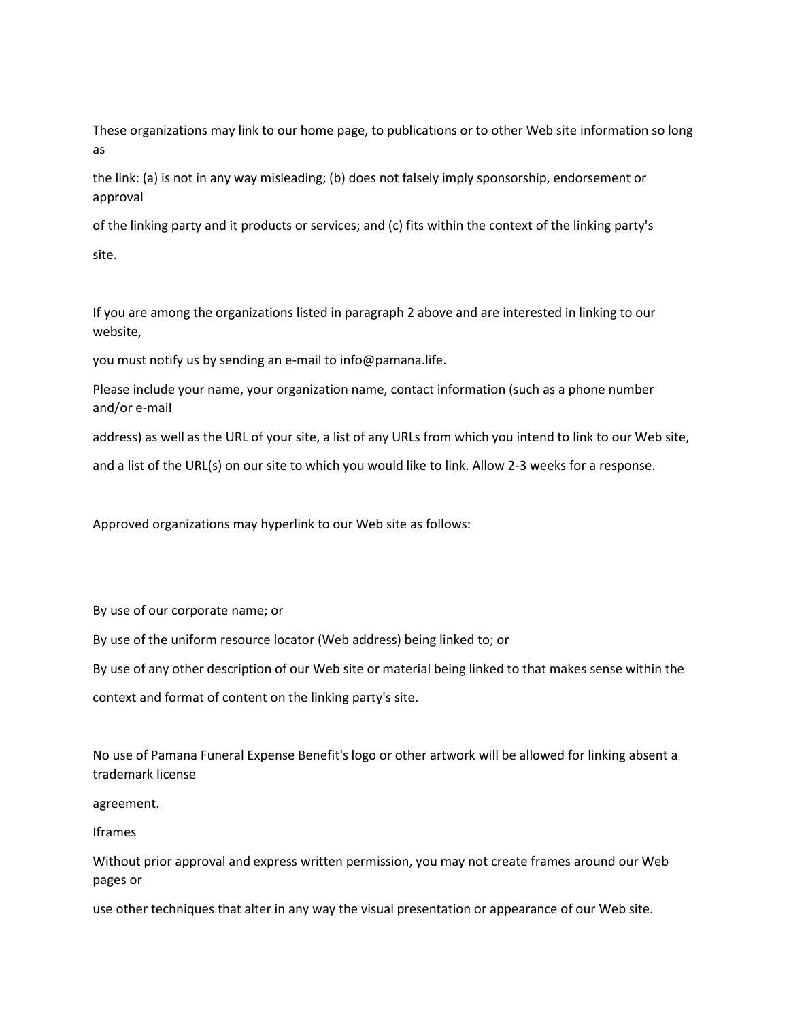These organizations may link to our home page, to publications or to other Web site information so long as

the link: (a) is not in any way misleading; (b) does not falsely imply sponsorship, endorsement or approval

of the linking party and it products or services; and (c) fits within the context of the linking party's site.

If you are among the organizations listed in paragraph 2 above and are interested in linking to our website,

you must notify us by sending an e-mail to info@pamana.life.

Please include your name, your organization name, contact information (such as a phone number and/or e-mail

address) as well as the URL of your site, a list of any URLs from which you intend to link to our Web site,

and a list of the URL(s) on our site to which you would like to link. Allow 2-3 weeks for a response.

Approved organizations may hyperlink to our Web site as follows:

By use of our corporate name; or

By use of the uniform resource locator (Web address) being linked to; or

By use of any other description of our Web site or material being linked to that makes sense within the

context and format of content on the linking party's site.

No use of Pamana Funeral Expense Benefit's logo or other artwork will be allowed for linking absent a trademark license

agreement.

Iframes

Without prior approval and express written permission, you may not create frames around our Web pages or

use other techniques that alter in any way the visual presentation or appearance of our Web site.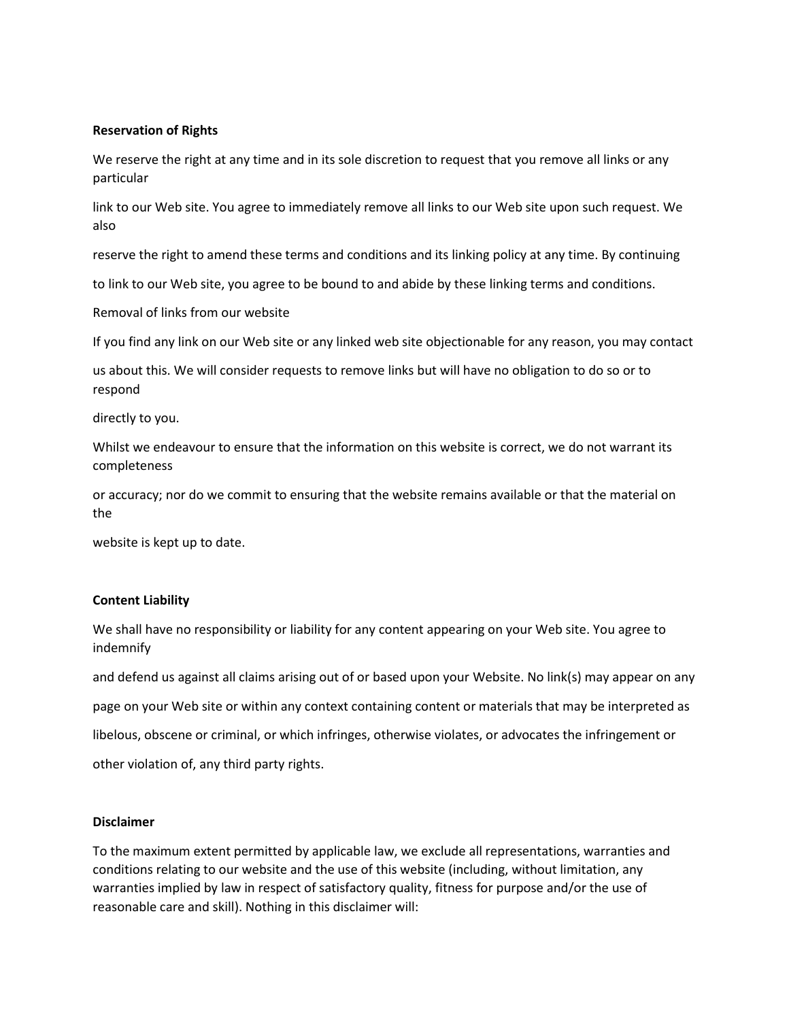## **Reservation of Rights**

We reserve the right at any time and in its sole discretion to request that you remove all links or any particular

link to our Web site. You agree to immediately remove all links to our Web site upon such request. We also

reserve the right to amend these terms and conditions and its linking policy at any time. By continuing

to link to our Web site, you agree to be bound to and abide by these linking terms and conditions.

Removal of links from our website

If you find any link on our Web site or any linked web site objectionable for any reason, you may contact

us about this. We will consider requests to remove links but will have no obligation to do so or to respond

directly to you.

Whilst we endeavour to ensure that the information on this website is correct, we do not warrant its completeness

or accuracy; nor do we commit to ensuring that the website remains available or that the material on the

website is kept up to date.

## **Content Liability**

We shall have no responsibility or liability for any content appearing on your Web site. You agree to indemnify

and defend us against all claims arising out of or based upon your Website. No link(s) may appear on any page on your Web site or within any context containing content or materials that may be interpreted as libelous, obscene or criminal, or which infringes, otherwise violates, or advocates the infringement or other violation of, any third party rights.

## **Disclaimer**

To the maximum extent permitted by applicable law, we exclude all representations, warranties and conditions relating to our website and the use of this website (including, without limitation, any warranties implied by law in respect of satisfactory quality, fitness for purpose and/or the use of reasonable care and skill). Nothing in this disclaimer will: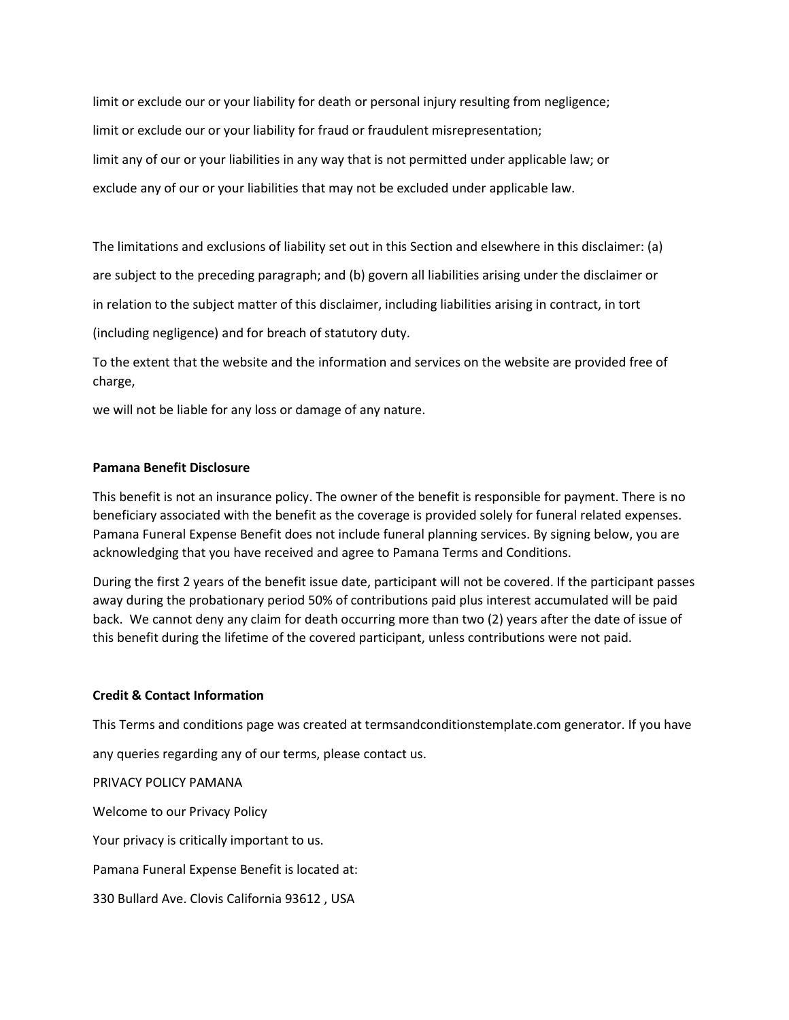limit or exclude our or your liability for death or personal injury resulting from negligence; limit or exclude our or your liability for fraud or fraudulent misrepresentation; limit any of our or your liabilities in any way that is not permitted under applicable law; or exclude any of our or your liabilities that may not be excluded under applicable law.

The limitations and exclusions of liability set out in this Section and elsewhere in this disclaimer: (a) are subject to the preceding paragraph; and (b) govern all liabilities arising under the disclaimer or in relation to the subject matter of this disclaimer, including liabilities arising in contract, in tort (including negligence) and for breach of statutory duty.

To the extent that the website and the information and services on the website are provided free of charge,

we will not be liable for any loss or damage of any nature.

# **Pamana Benefit Disclosure**

This benefit is not an insurance policy. The owner of the benefit is responsible for payment. There is no beneficiary associated with the benefit as the coverage is provided solely for funeral related expenses. Pamana Funeral Expense Benefit does not include funeral planning services. By signing below, you are acknowledging that you have received and agree to Pamana Terms and Conditions.

During the first 2 years of the benefit issue date, participant will not be covered. If the participant passes away during the probationary period 50% of contributions paid plus interest accumulated will be paid back. We cannot deny any claim for death occurring more than two (2) years after the date of issue of this benefit during the lifetime of the covered participant, unless contributions were not paid.

### **Credit & Contact Information**

This Terms and conditions page was created at termsandconditionstemplate.com generator. If you have any queries regarding any of our terms, please contact us. PRIVACY POLICY PAMANA Welcome to our Privacy Policy Your privacy is critically important to us. Pamana Funeral Expense Benefit is located at: 330 Bullard Ave. Clovis California 93612 , USA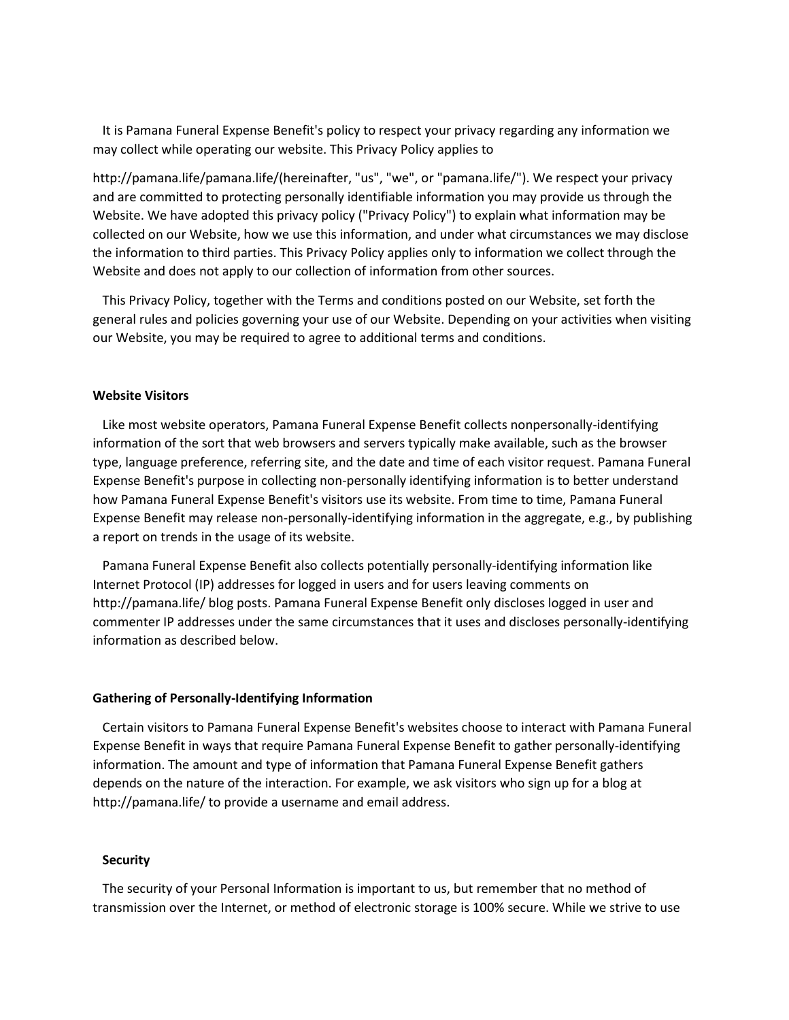It is Pamana Funeral Expense Benefit's policy to respect your privacy regarding any information we may collect while operating our website. This Privacy Policy applies to

http://pamana.life/pamana.life/(hereinafter, "us", "we", or "pamana.life/"). We respect your privacy and are committed to protecting personally identifiable information you may provide us through the Website. We have adopted this privacy policy ("Privacy Policy") to explain what information may be collected on our Website, how we use this information, and under what circumstances we may disclose the information to third parties. This Privacy Policy applies only to information we collect through the Website and does not apply to our collection of information from other sources.

 This Privacy Policy, together with the Terms and conditions posted on our Website, set forth the general rules and policies governing your use of our Website. Depending on your activities when visiting our Website, you may be required to agree to additional terms and conditions.

#### **Website Visitors**

 Like most website operators, Pamana Funeral Expense Benefit collects nonpersonally-identifying information of the sort that web browsers and servers typically make available, such as the browser type, language preference, referring site, and the date and time of each visitor request. Pamana Funeral Expense Benefit's purpose in collecting non-personally identifying information is to better understand how Pamana Funeral Expense Benefit's visitors use its website. From time to time, Pamana Funeral Expense Benefit may release non-personally-identifying information in the aggregate, e.g., by publishing a report on trends in the usage of its website.

 Pamana Funeral Expense Benefit also collects potentially personally-identifying information like Internet Protocol (IP) addresses for logged in users and for users leaving comments on http://pamana.life/ blog posts. Pamana Funeral Expense Benefit only discloses logged in user and commenter IP addresses under the same circumstances that it uses and discloses personally-identifying information as described below.

#### **Gathering of Personally-Identifying Information**

 Certain visitors to Pamana Funeral Expense Benefit's websites choose to interact with Pamana Funeral Expense Benefit in ways that require Pamana Funeral Expense Benefit to gather personally-identifying information. The amount and type of information that Pamana Funeral Expense Benefit gathers depends on the nature of the interaction. For example, we ask visitors who sign up for a blog at http://pamana.life/ to provide a username and email address.

#### **Security**

 The security of your Personal Information is important to us, but remember that no method of transmission over the Internet, or method of electronic storage is 100% secure. While we strive to use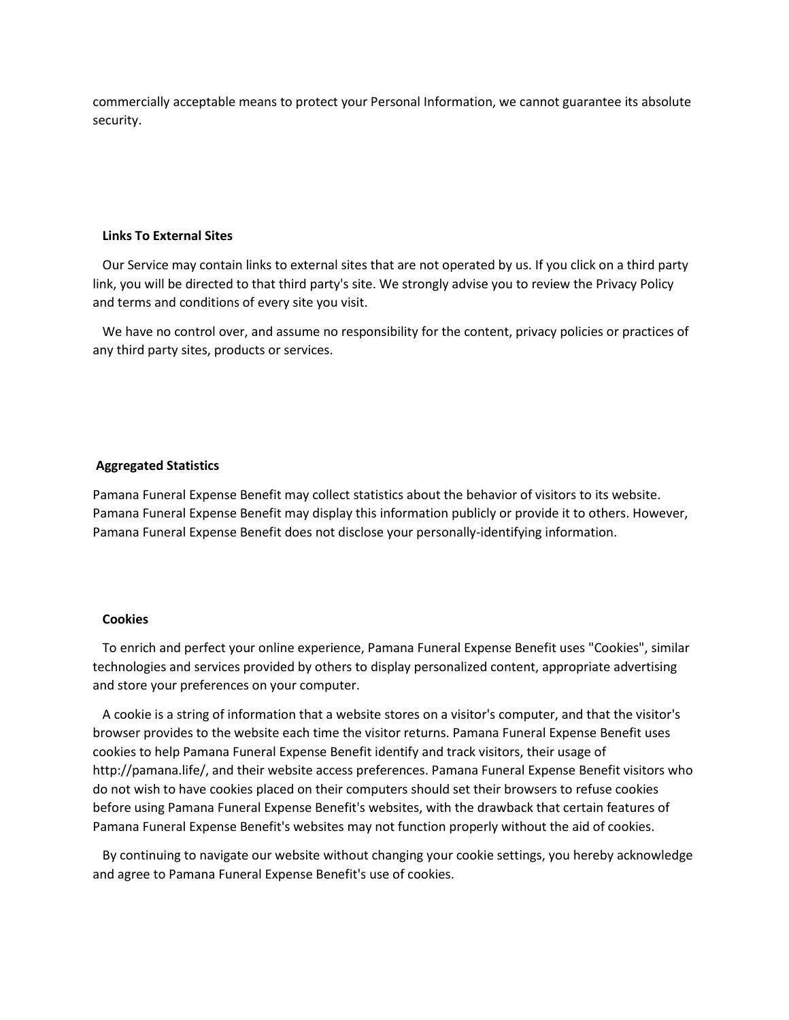commercially acceptable means to protect your Personal Information, we cannot guarantee its absolute security.

### **Links To External Sites**

 Our Service may contain links to external sites that are not operated by us. If you click on a third party link, you will be directed to that third party's site. We strongly advise you to review the Privacy Policy and terms and conditions of every site you visit.

 We have no control over, and assume no responsibility for the content, privacy policies or practices of any third party sites, products or services.

### **Aggregated Statistics**

Pamana Funeral Expense Benefit may collect statistics about the behavior of visitors to its website. Pamana Funeral Expense Benefit may display this information publicly or provide it to others. However, Pamana Funeral Expense Benefit does not disclose your personally-identifying information.

#### **Cookies**

 To enrich and perfect your online experience, Pamana Funeral Expense Benefit uses "Cookies", similar technologies and services provided by others to display personalized content, appropriate advertising and store your preferences on your computer.

 A cookie is a string of information that a website stores on a visitor's computer, and that the visitor's browser provides to the website each time the visitor returns. Pamana Funeral Expense Benefit uses cookies to help Pamana Funeral Expense Benefit identify and track visitors, their usage of http://pamana.life/, and their website access preferences. Pamana Funeral Expense Benefit visitors who do not wish to have cookies placed on their computers should set their browsers to refuse cookies before using Pamana Funeral Expense Benefit's websites, with the drawback that certain features of Pamana Funeral Expense Benefit's websites may not function properly without the aid of cookies.

 By continuing to navigate our website without changing your cookie settings, you hereby acknowledge and agree to Pamana Funeral Expense Benefit's use of cookies.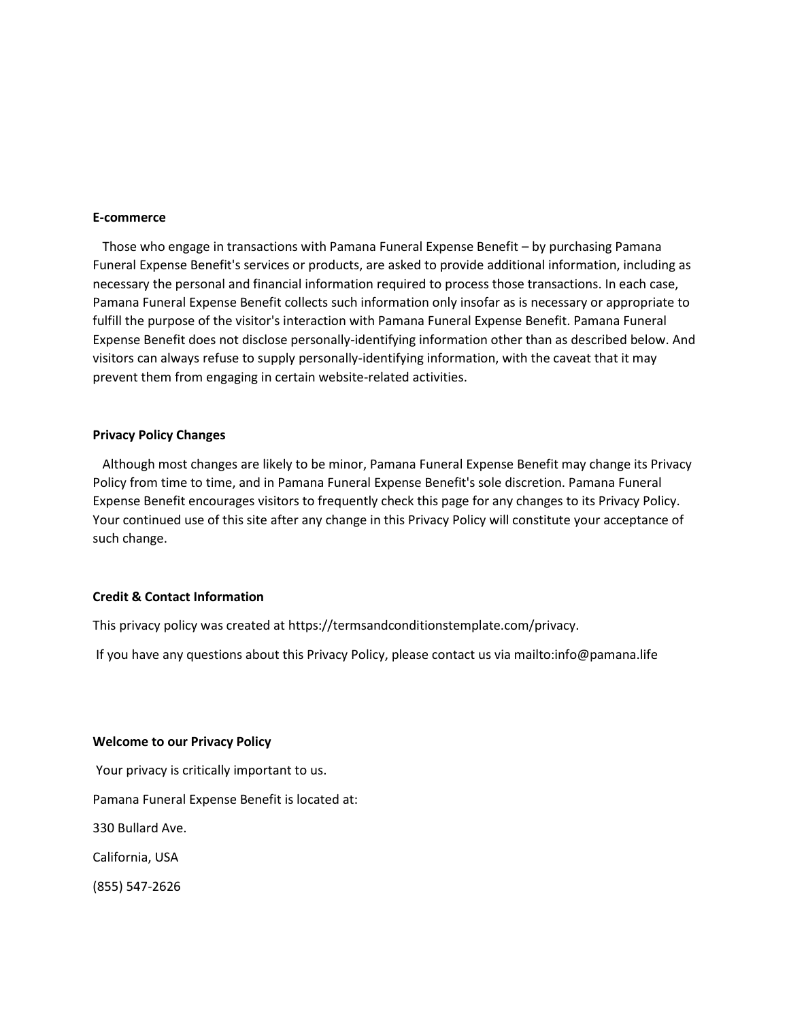#### **E-commerce**

 Those who engage in transactions with Pamana Funeral Expense Benefit – by purchasing Pamana Funeral Expense Benefit's services or products, are asked to provide additional information, including as necessary the personal and financial information required to process those transactions. In each case, Pamana Funeral Expense Benefit collects such information only insofar as is necessary or appropriate to fulfill the purpose of the visitor's interaction with Pamana Funeral Expense Benefit. Pamana Funeral Expense Benefit does not disclose personally-identifying information other than as described below. And visitors can always refuse to supply personally-identifying information, with the caveat that it may prevent them from engaging in certain website-related activities.

### **Privacy Policy Changes**

 Although most changes are likely to be minor, Pamana Funeral Expense Benefit may change its Privacy Policy from time to time, and in Pamana Funeral Expense Benefit's sole discretion. Pamana Funeral Expense Benefit encourages visitors to frequently check this page for any changes to its Privacy Policy. Your continued use of this site after any change in this Privacy Policy will constitute your acceptance of such change.

### **Credit & Contact Information**

This privacy policy was created at https://termsandconditionstemplate.com/privacy.

If you have any questions about this Privacy Policy, please contact us via mailto:info@pamana.life

#### **Welcome to our Privacy Policy**

Your privacy is critically important to us. Pamana Funeral Expense Benefit is located at: 330 Bullard Ave. California, USA (855) 547-2626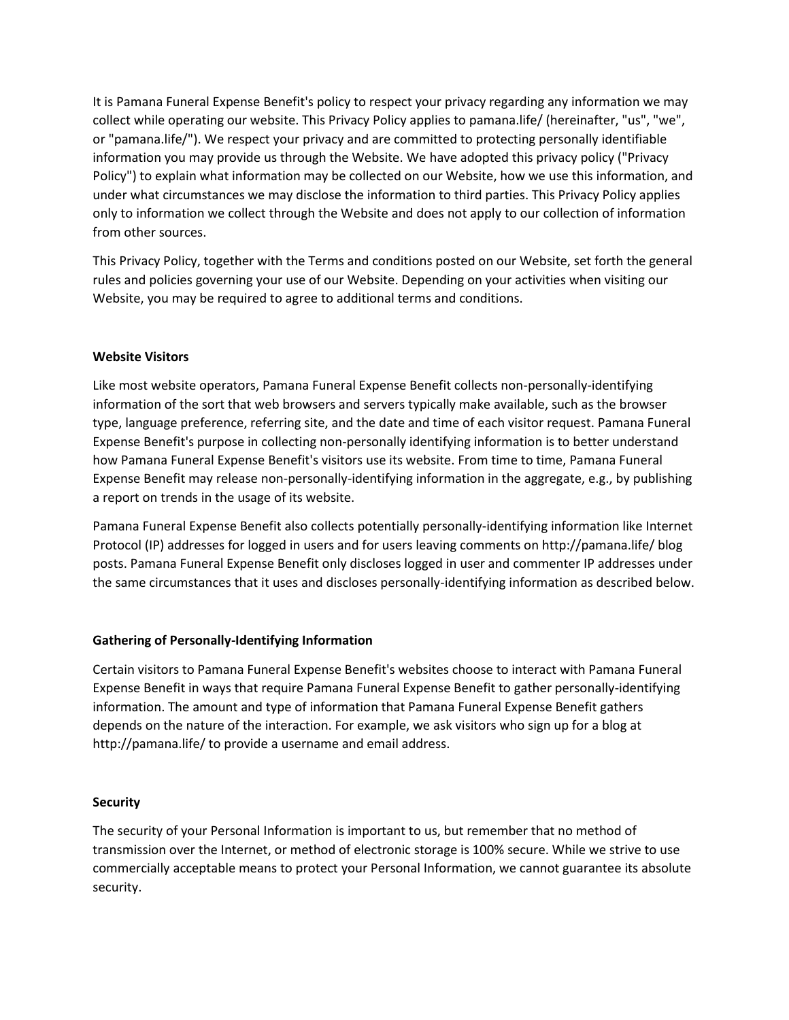It is Pamana Funeral Expense Benefit's policy to respect your privacy regarding any information we may collect while operating our website. This Privacy Policy applies to pamana.life/ (hereinafter, "us", "we", or "pamana.life/"). We respect your privacy and are committed to protecting personally identifiable information you may provide us through the Website. We have adopted this privacy policy ("Privacy Policy") to explain what information may be collected on our Website, how we use this information, and under what circumstances we may disclose the information to third parties. This Privacy Policy applies only to information we collect through the Website and does not apply to our collection of information from other sources.

This Privacy Policy, together with the Terms and conditions posted on our Website, set forth the general rules and policies governing your use of our Website. Depending on your activities when visiting our Website, you may be required to agree to additional terms and conditions.

## **Website Visitors**

Like most website operators, Pamana Funeral Expense Benefit collects non-personally-identifying information of the sort that web browsers and servers typically make available, such as the browser type, language preference, referring site, and the date and time of each visitor request. Pamana Funeral Expense Benefit's purpose in collecting non-personally identifying information is to better understand how Pamana Funeral Expense Benefit's visitors use its website. From time to time, Pamana Funeral Expense Benefit may release non-personally-identifying information in the aggregate, e.g., by publishing a report on trends in the usage of its website.

Pamana Funeral Expense Benefit also collects potentially personally-identifying information like Internet Protocol (IP) addresses for logged in users and for users leaving comments on http://pamana.life/ blog posts. Pamana Funeral Expense Benefit only discloses logged in user and commenter IP addresses under the same circumstances that it uses and discloses personally-identifying information as described below.

## **Gathering of Personally-Identifying Information**

Certain visitors to Pamana Funeral Expense Benefit's websites choose to interact with Pamana Funeral Expense Benefit in ways that require Pamana Funeral Expense Benefit to gather personally-identifying information. The amount and type of information that Pamana Funeral Expense Benefit gathers depends on the nature of the interaction. For example, we ask visitors who sign up for a blog at http://pamana.life/ to provide a username and email address.

## **Security**

The security of your Personal Information is important to us, but remember that no method of transmission over the Internet, or method of electronic storage is 100% secure. While we strive to use commercially acceptable means to protect your Personal Information, we cannot guarantee its absolute security.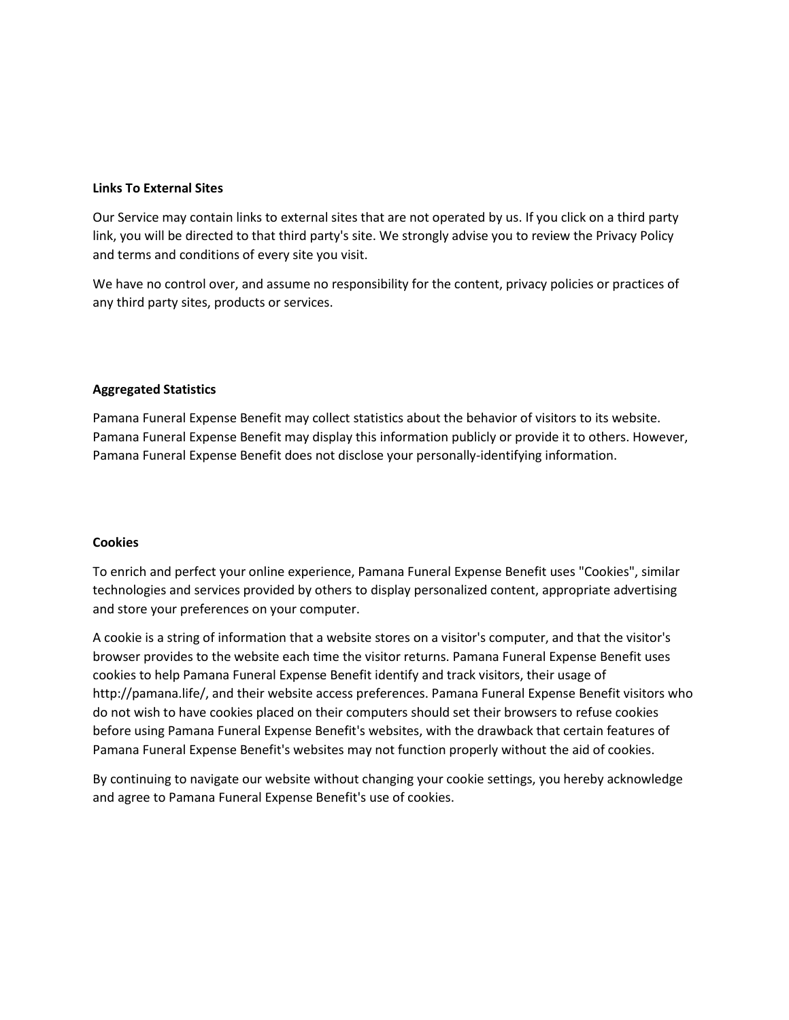## **Links To External Sites**

Our Service may contain links to external sites that are not operated by us. If you click on a third party link, you will be directed to that third party's site. We strongly advise you to review the Privacy Policy and terms and conditions of every site you visit.

We have no control over, and assume no responsibility for the content, privacy policies or practices of any third party sites, products or services.

## **Aggregated Statistics**

Pamana Funeral Expense Benefit may collect statistics about the behavior of visitors to its website. Pamana Funeral Expense Benefit may display this information publicly or provide it to others. However, Pamana Funeral Expense Benefit does not disclose your personally-identifying information.

### **Cookies**

To enrich and perfect your online experience, Pamana Funeral Expense Benefit uses "Cookies", similar technologies and services provided by others to display personalized content, appropriate advertising and store your preferences on your computer.

A cookie is a string of information that a website stores on a visitor's computer, and that the visitor's browser provides to the website each time the visitor returns. Pamana Funeral Expense Benefit uses cookies to help Pamana Funeral Expense Benefit identify and track visitors, their usage of http://pamana.life/, and their website access preferences. Pamana Funeral Expense Benefit visitors who do not wish to have cookies placed on their computers should set their browsers to refuse cookies before using Pamana Funeral Expense Benefit's websites, with the drawback that certain features of Pamana Funeral Expense Benefit's websites may not function properly without the aid of cookies.

By continuing to navigate our website without changing your cookie settings, you hereby acknowledge and agree to Pamana Funeral Expense Benefit's use of cookies.